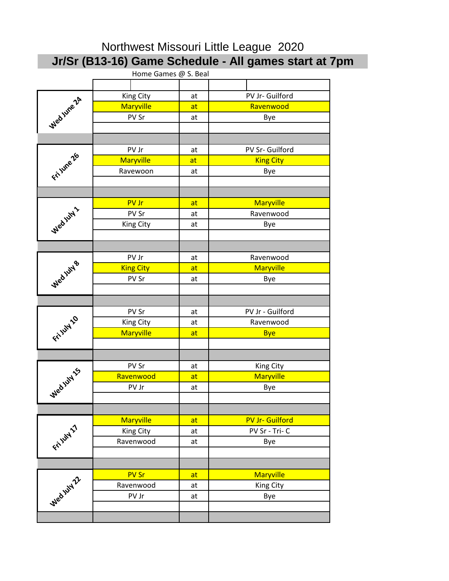| Northwest Missouri Little League 2020 |                  |          |                                                       |  |  |
|---------------------------------------|------------------|----------|-------------------------------------------------------|--|--|
|                                       |                  |          | Jr/Sr (B13-16) Game Schedule - All games start at 7pm |  |  |
| Home Games @ S. Beal                  |                  |          |                                                       |  |  |
|                                       |                  |          |                                                       |  |  |
| Wed line 24                           | King City        | at       | PV Jr- Guilford                                       |  |  |
|                                       | <b>Maryville</b> | at       | Ravenwood                                             |  |  |
|                                       | PV Sr            | at       | Bye                                                   |  |  |
|                                       |                  |          |                                                       |  |  |
|                                       |                  |          |                                                       |  |  |
| Fri June 26                           | PV Jr            | at       | PV Sr- Guilford                                       |  |  |
|                                       | <b>Maryville</b> | at       | <b>King City</b>                                      |  |  |
|                                       | Ravewoon         | at       | Bye                                                   |  |  |
|                                       |                  |          |                                                       |  |  |
|                                       |                  |          |                                                       |  |  |
|                                       | PV Jr            | at       | <b>Maryville</b><br>Ravenwood                         |  |  |
|                                       | PV Sr            | at       |                                                       |  |  |
| Wed juty 1                            | <b>King City</b> | at       | Bye                                                   |  |  |
|                                       |                  |          |                                                       |  |  |
|                                       | PV Jr            | at       | Ravenwood                                             |  |  |
|                                       | <b>King City</b> | at       | <b>Maryville</b>                                      |  |  |
|                                       | PV Sr            | at       | Bye                                                   |  |  |
| Wedjutys                              |                  |          |                                                       |  |  |
|                                       |                  |          |                                                       |  |  |
| Fritilly 10                           | PV Sr            | at       | PV Jr - Guilford                                      |  |  |
|                                       | King City        | at       | Ravenwood                                             |  |  |
|                                       | <b>Maryville</b> | at       | <b>Bye</b>                                            |  |  |
|                                       |                  |          |                                                       |  |  |
|                                       |                  |          |                                                       |  |  |
|                                       | PV Sr            | at       | King City                                             |  |  |
|                                       | Ravenwood        | at       | <b>Maryville</b>                                      |  |  |
| Wedjuty 15                            | PV Jr            | at       | Bye                                                   |  |  |
|                                       |                  |          |                                                       |  |  |
|                                       |                  |          |                                                       |  |  |
| Fritish 27                            | <b>Maryville</b> | at       | <b>PV Jr- Guilford</b>                                |  |  |
|                                       | King City        | at       | PV Sr - Tri- C                                        |  |  |
|                                       | Ravenwood        | at       | Bye                                                   |  |  |
|                                       |                  |          |                                                       |  |  |
|                                       | <b>PV Sr</b>     |          |                                                       |  |  |
| Wed July 22                           | Ravenwood        | at       | <b>Maryville</b>                                      |  |  |
|                                       | PV Jr            | at<br>at | King City<br>Bye                                      |  |  |
|                                       |                  |          |                                                       |  |  |
|                                       |                  |          |                                                       |  |  |
|                                       |                  |          |                                                       |  |  |